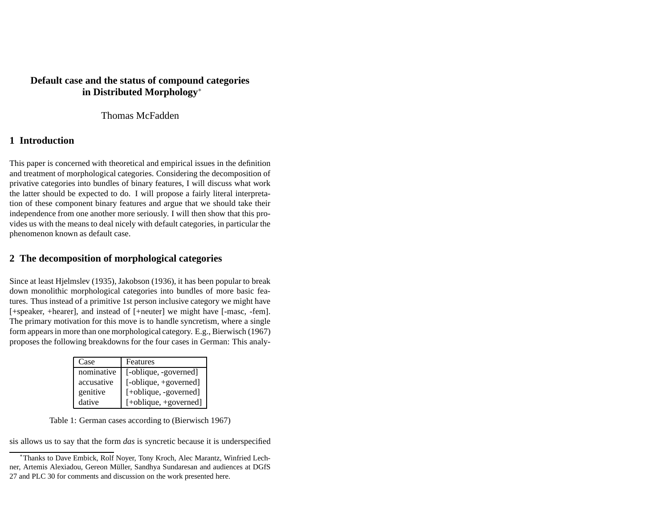# **Default case and the status of compound categories in Distributed Morphology**<sup>∗</sup>

Thomas McFadden

# **1 Introduction**

This paper is concerned with theoretical and empirical issues in the definition and treatment of morphological categories. Considering the decomposition of privative categories into bundles of binary features, I will discuss what work the latter should be expected to do. I will propose <sup>a</sup> fairly literal interpretation of these componen<sup>t</sup> binary features and argue that we should take their independence from one another more seriously. I will then show that this provides us with the means to deal nicely with default categories, in particular the phenomenon known as default case.

# **2 The decomposition of morphological categories**

Since at least Hjelmslev (1935), Jakobson (1936), it has been popular to break down monolithic morphological categories into bundles of more basic features. Thus instead of <sup>a</sup> primitive 1st person inclusive category we might have [+speaker, +hearer], and instead of [+neuter] we might have [-masc, -fem]. The primary motivation for this move is to handle syncretism, where <sup>a</sup> single form appearsin more than one morphological category. E.g., Bierwisch (1967) proposes the following breakdowns for the four cases in German: This analy-

| Case       | Features              |
|------------|-----------------------|
| nominative | [-oblique, -governed] |
| accusative | [-oblique, +governed] |
| genitive   | [+oblique, -governed] |
| dative     | [+oblique, +governed] |

Table 1: German cases according to (Bierwisch 1967)

sis allows us to say that the form *das* is syncretic because it is underspecified

<sup>∗</sup>Thanks to Dave Embick, Rolf Noyer, Tony Kroch, Alec Marantz, Winfried Lechner, Artemis Alexiadou, Gereon Müller, Sandhya Sundaresan and audiences at DGfS 27 and PLC 30 for comments and discussion on the work presented here.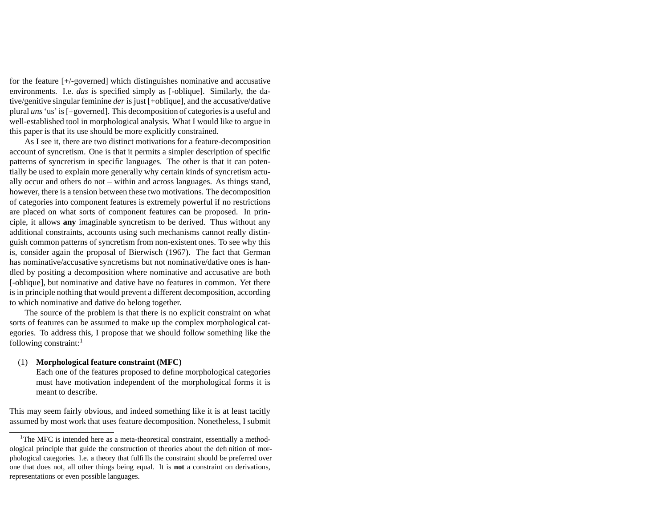for the feature [+/-governed] which distinguishes nominative and accusative environments. I.e. *das* is specified simply as [-oblique]. Similarly, the dative/genitive singular feminine *der* is just [+oblique], and the accusative/dative plural *uns*'us' is [+governed]. This decomposition of categoriesis <sup>a</sup> useful and well-established tool in morphological analysis. What I would like to argue in this paper is that its use should be more explicitly constrained.

As I see it, there are two distinct motivations for <sup>a</sup> feature-decomposition account of syncretism. One is that it permits <sup>a</sup> simpler description of specific patterns of syncretism in specific languages. The other is that it can potentially be used to explain more generally why certain kinds of syncretism actually occur and others do not – within and across languages. As things stand, however, there is <sup>a</sup> tension between these two motivations. The decomposition of categories into componen<sup>t</sup> features is extremely powerful if no restrictions are placed on what sorts of componen<sup>t</sup> features can be proposed. In principle, it allows **any** imaginable syncretism to be derived. Thus without any additional constraints, accounts using such mechanisms cannot really distinguish common patterns of syncretism from non-existent ones. To see why this is, consider again the proposal of Bierwisch (1967). The fact that German has nominative/accusative syncretisms but not nominative/dative ones is handled by positing <sup>a</sup> decomposition where nominative and accusative are both [-oblique], but nominative and dative have no features in common. Yet there is in principle nothing that would preven<sup>t</sup> <sup>a</sup> different decomposition, according to which nominative and dative do belong together.

The source of the problem is that there is no explicit constraint on what sorts of features can be assumed to make up the complex morphological categories. To address this, I propose that we should follow something like the following constraint:<sup>1</sup>

#### (1) **Morphological feature constraint (MFC)**

Each one of the features proposed to define morphological categories must have motivation independent of the morphological forms it is meant to describe.

This may seem fairly obvious, and indeed something like it is at least tacitly assumed by most work that uses feature decomposition. Nonetheless, I submit

 $1$ The MFC is intended here as a meta-theoretical constraint, essentially a methodological principle that guide the construction of theories about the definition of morphological categories. I.e. <sup>a</sup> theory that fulfills the constraint should be preferred over one that does not, all other things being equal. It is **not** <sup>a</sup> constraint on derivations, representations or even possible languages.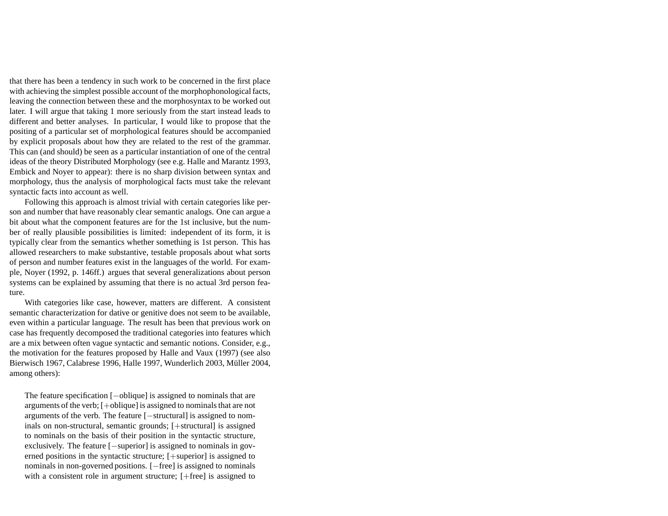that there has been <sup>a</sup> tendency in such work to be concerned in the first place with achieving the simplest possible account of the morphophonological facts, leaving the connection between these and the morphosyntax to be worked out later. I will argue that taking 1 more seriously from the start instead leads to different and better analyses. In particular, I would like to propose that the positing of <sup>a</sup> particular set of morphological features should be accompanied by explicit proposals about how they are related to the rest of the grammar. This can (and should) be seen as <sup>a</sup> particular instantiation of one of the central ideas of the theory Distributed Morphology (see e.g. Halle and Marantz 1993, Embick and Noyer to appear): there is no sharp division between syntax and morphology, thus the analysis of morphological facts must take the relevant syntactic facts into account as well.

Following this approach is almost trivial with certain categories like person and number that have reasonably clear semantic analogs. One can argue <sup>a</sup> bit about what the componen<sup>t</sup> features are for the 1st inclusive, but the number of really plausible possibilities is limited: independent of its form, it is typically clear from the semantics whether something is 1st person. This has allowed researchers to make substantive, testable proposals about what sorts of person and number features exist in the languages of the world. For example, Noyer (1992, p. 146ff.) argues that several generalizations about person systems can be explained by assuming that there is no actual 3rd person feature.

With categories like case, however, matters are different. A consistent semantic characterization for dative or genitive does not seem to be available, even within <sup>a</sup> particular language. The result has been that previous work on case has frequently decomposed the traditional categories into features which are <sup>a</sup> mix between often vague syntactic and semantic notions. Consider, e.g., the motivation for the features proposed by Halle and Vaux (1997) (see also Bierwisch 1967, Calabrese 1996, Halle 1997, Wunderlich 2003, Müller 2004, among others):

The feature specification [−oblique] is assigned to nominals that are arguments of the verb; [+oblique] is assigned to nominalsthat are not arguments of the verb. The feature [−structural] is assigned to nominals on non-structural, semantic grounds; [+structural] is assigned to nominals on the basis of their position in the syntactic structure, exclusively. The feature [−superior] is assigned to nominals in governed positions in the syntactic structure; [+superior] is assigned to nominals in non-governed positions. [−free] is assigned to nominals with a consistent role in argument structure; [+free] is assigned to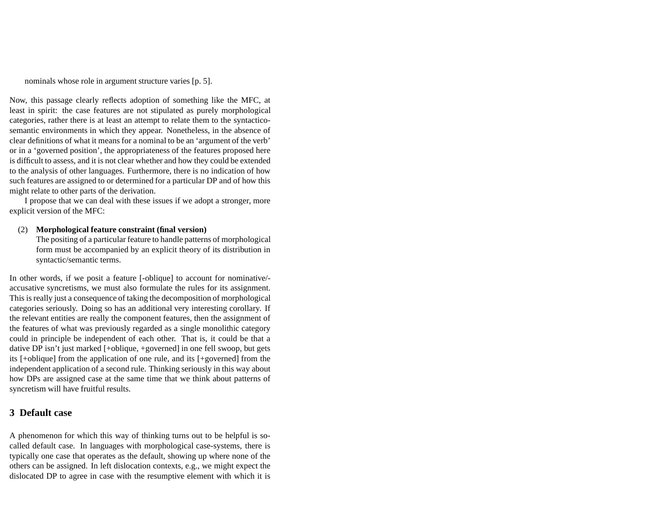nominals whose role in argumen<sup>t</sup> structure varies [p. 5].

Now, this passage clearly reflects adoption of something like the MFC, at least in spirit: the case features are not stipulated as purely morphological categories, rather there is at least an attempt to relate them to the syntacticosemantic environments in which they appear. Nonetheless, in the absence of clear definitions of what it means for <sup>a</sup> nominal to be an 'argument of the verb' or in <sup>a</sup> 'governed position', the appropriateness of the features proposed here is difficult to assess, and it is not clear whether and how they could be extended to the analysis of other languages. Furthermore, there is no indication of how such features are assigned to or determined for <sup>a</sup> particular DP and of how this might relate to other parts of the derivation.

I propose that we can deal with these issues if we adopt <sup>a</sup> stronger, more explicit version of the MFC:

### (2) **Morphological feature constraint (final version)**

The positing of <sup>a</sup> particular feature to handle patterns of morphological form must be accompanied by an explicit theory of its distribution in syntactic/semantic terms.

In other words, if we posit <sup>a</sup> feature [-oblique] to account for nominative/ accusative syncretisms, we must also formulate the rules for its assignment. This is really just <sup>a</sup> consequence of taking the decomposition of morphological categories seriously. Doing so has an additional very interesting corollary. If the relevant entities are really the componen<sup>t</sup> features, then the assignment of the features of what was previously regarded as <sup>a</sup> single monolithic category could in principle be independent of each other. That is, it could be that <sup>a</sup> dative DP isn't just marked [+oblique, +governed] in one fell swoop, but gets its [+oblique] from the application of one rule, and its [+governed] from the independent application of <sup>a</sup> second rule. Thinking seriously in this way about how DPs are assigned case at the same time that we think about patterns of syncretism will have fruitful results.

### **3 Default case**

A phenomenon for which this way of thinking turns out to be helpful is socalled default case. In languages with morphological case-systems, there is typically one case that operates as the default, showing up where none of the others can be assigned. In left dislocation contexts, e.g., we might expec<sup>t</sup> the dislocated DP to agree in case with the resumptive element with which it is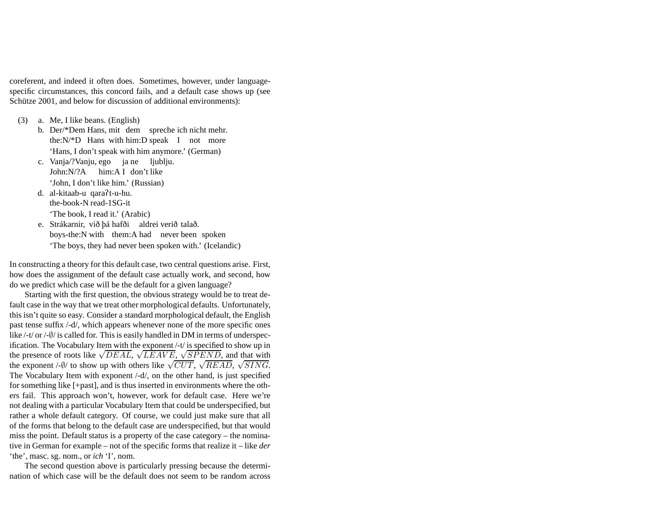coreferent, and indeed it often does. Sometimes, however, under languagespecific circumstances, this concord fails, and <sup>a</sup> default case shows up (see Schütze 2001, and below for discussion of additional environments):

- (3) a. Me, I like beans. (English)
	- b. Der/\*Dem Hans, mit dem spreche ich nicht mehr. the:N/\*D Hans with him:D speak I not more 'Hans, I don't speak with him anymore.' (German)
	- c. Vanja/?Vanju, ego ja ne ljublju. John:N/?A him:A I don't like 'John, I don't like him.' (Russian)
	- d. al-kitaab-u qarat-u-hu. the-book-N read-1SG-it 'The book, I read it.' (Arabic)
	- e. Strákarnir, við þá hafði aldrei verið talað. boys-the:N with them:A had never been spoken 'The boys, they had never been spoken with.' (Icelandic)

In constructing <sup>a</sup> theory for this default case, two central questions arise. First, how does the assignment of the default case actually work, and second, how do we predict which case will be the default for <sup>a</sup> given language?

Starting with the first question, the obvious strategy would be to treat default case in the way that we treat other morphological defaults. Unfortunately, this isn't quite so easy. Consider <sup>a</sup> standard morphological default, the English pas<sup>t</sup> tense suffix /-d/, which appears whenever none of the more specific ones like /-t/ or /- $\emptyset$ / is called for. This is easily handled in DM in terms of underspecification. The Vocabulary Item with the exponen<sup>t</sup> /-t/ is specified to show up in the presence of roots like  $\sqrt{DEAL}$ ,  $\sqrt{LEAVE}$ ,  $\sqrt{SPEND}$ , and that with the exponent /- $\psi$  to show up with others like  $\sqrt{CUT}$ ,  $\sqrt{READ}$ ,  $\sqrt{SING}$ . The Vocabulary Item with exponen<sup>t</sup> /-d/, on the other hand, is just specified for something like [+past], and is thus inserted in environments where the others fail. This approach won't, however, work for default case. Here we're not dealing with <sup>a</sup> particular Vocabulary Item that could be underspecified, but rather <sup>a</sup> whole default category. Of course, we could just make sure that all of the forms that belong to the default case are underspecified, but that would miss the point. Default status is <sup>a</sup> property of the case category – the nominative in German for example – not of the specific forms that realize it – like *der* 'the', masc. sg. nom., or *ich* 'I', nom.

The second question above is particularly pressing because the determination of which case will be the default does not seem to be random across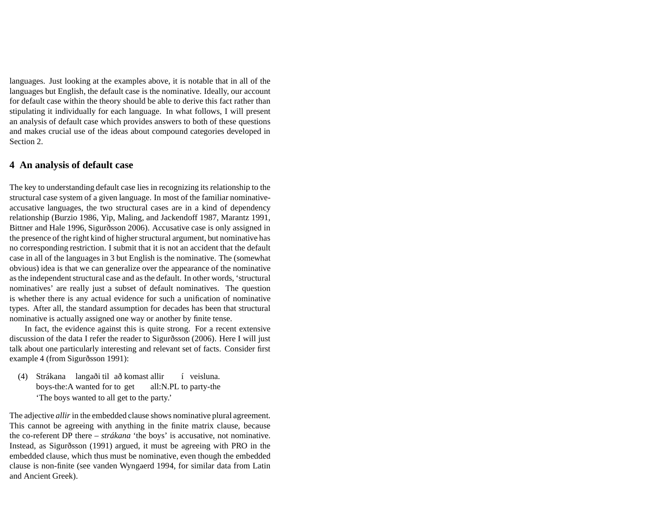languages. Just looking at the examples above, it is notable that in all of the languages but English, the default case is the nominative. Ideally, our account for default case within the theory should be able to derive this fact rather than stipulating it individually for each language. In what follows, I will presen<sup>t</sup> an analysis of default case which provides answers to both of these questions and makes crucial use of the ideas about compound categories developed in Section 2.

## **4 An analysis of default case**

The key to understanding default case lies in recognizing its relationship to the structural case system of <sup>a</sup> given language. In most of the familiar nominativeaccusative languages, the two structural cases are in <sup>a</sup> kind of dependency relationship (Burzio 1986, Yip, Maling, and Jackendoff 1987, Marantz 1991, Bittner and Hale 1996, Sigurðsson 2006). Accusative case is only assigned in the presence of the right kind of higher structural argument, but nominative has no corresponding restriction. I submit that it is not an accident that the default case in all of the languages in 3 but English is the nominative. The (somewhat obvious) idea is that we can generalize over the appearance of the nominative as the independent structural case and as the default. In other words, 'structural nominatives' are really just <sup>a</sup> subset of default nominatives. The question is whether there is any actual evidence for such <sup>a</sup> unification of nominative types. After all, the standard assumption for decades has been that structural nominative is actually assigned one way or another by finite tense.

In fact, the evidence against this is quite strong. For <sup>a</sup> recent extensive discussion of the data I refer the reader to Sigurðsson (2006). Here I will just talk about one particularly interesting and relevant set of facts. Consider first example 4 (from Sigurðsson 1991):

(4) Strákana langaði til að komast allir boys-the:A wanted for to get all:N.PL to party-the í veisluna. 'The boys wanted to all ge<sup>t</sup> to the party.'

The adjective *allir* in the embedded clause shows nominative plural agreement. This cannot be agreeing with anything in the finite matrix clause, because the co-referent DP there – *strákana* 'the boys' is accusative, not nominative. Instead, as Sigurðsson (1991) argued, it must be agreeing with PRO in the embedded clause, which thus must be nominative, even though the embedded clause is non-finite (see vanden Wyngaerd 1994, for similar data from Latin and Ancient Greek).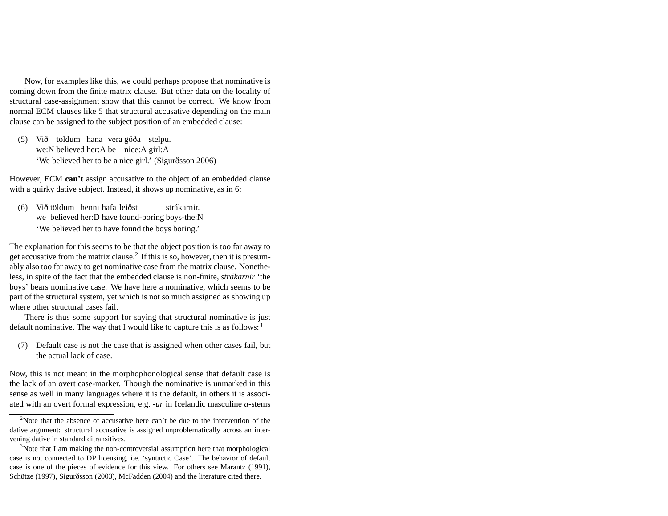Now, for examples like this, we could perhaps propose that nominative is coming down from the finite matrix clause. But other data on the locality of structural case-assignment show that this cannot be correct. We know from normal ECM clauses like 5 that structural accusative depending on the main clause can be assigned to the subject position of an embedded clause:

(5) Við töldum hana vera góða stelpu. we:N believed her:A be nice:A girl:A 'We believed her to be <sup>a</sup> nice girl.' (Sigurðsson 2006)

However, ECM **can't** assign accusative to the object of an embedded clause with <sup>a</sup> quirky dative subject. Instead, it shows up nominative, as in 6:

(6) Við töldum henni hafa leiðst we believed her:D have found-boring boys-the:N strákarnir. 'We believed her to have found the boys boring.'

The explanation for this seems to be that the object position is too far away to get accusative from the matrix clause.<sup>2</sup> If this is so, however, then it is presumably also too far away to ge<sup>t</sup> nominative case from the matrix clause. Nonetheless, in spite of the fact that the embedded clause is non-finite, *strákarnir* 'the boys' bears nominative case. We have here <sup>a</sup> nominative, which seems to be par<sup>t</sup> of the structural system, ye<sup>t</sup> which is not so much assigned as showing up where other structural cases fail.

There is thus some suppor<sup>t</sup> for saying that structural nominative is just default nominative. The way that I would like to capture this is as follows:<sup>3</sup>

(7) Default case is not the case that is assigned when other cases fail, but the actual lack of case.

Now, this is not meant in the morphophonological sense that default case is the lack of an overt case-marker. Though the nominative is unmarked in this sense as well in many languages where it is the default, in others it is associated with an overt formal expression, e.g. *-ur* in Icelandic masculine *<sup>a</sup>*-stems

<sup>&</sup>lt;sup>2</sup>Note that the absence of accusative here can't be due to the intervention of the dative argument: structural accusative is assigned unproblematically across an intervening dative in standard ditransitives.

<sup>&</sup>lt;sup>3</sup>Note that I am making the non-controversial assumption here that morphological case is not connected to DP licensing, i.e. 'syntactic Case'. The behavior of default case is one of the pieces of evidence for this view. For others see Marantz (1991), Schütze (1997), Sigurðsson (2003), McFadden (2004) and the literature cited there.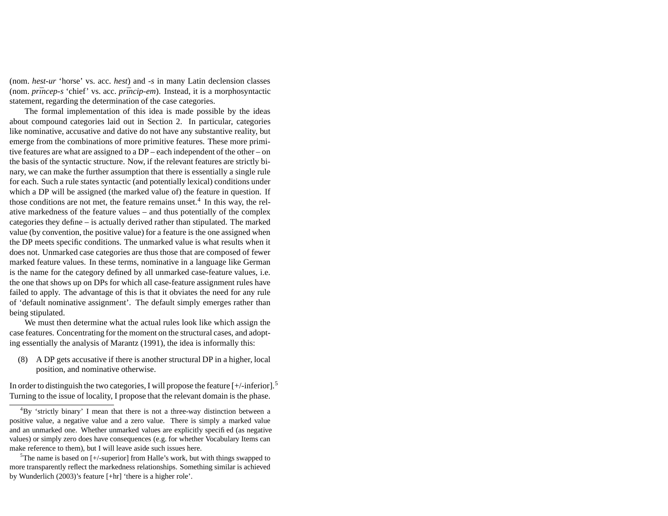(nom. *hest-ur* 'horse' vs. acc. *hest*) and *-s* in many Latin declension classes (nom. *prīncep-s* 'chief' vs. acc. *prīncip-em*). Instead, it is a morphosyntactic statement, regarding the determination of the case categories.

The formal implementation of this idea is made possible by the ideas about compound categories laid out in Section 2. In particular, categories like nominative, accusative and dative do not have any substantive reality, but emerge from the combinations of more primitive features. These more primitive features are what are assigned to <sup>a</sup> DP – each independent of the other – on the basis of the syntactic structure. Now, if the relevant features are strictly binary, we can make the further assumption that there is essentially <sup>a</sup> single rule for each. Such <sup>a</sup> rule states syntactic (and potentially lexical) conditions under which <sup>a</sup> DP will be assigned (the marked value of) the feature in question. If those conditions are not met, the feature remains unset.<sup>4</sup> In this way, the relative markedness of the feature values – and thus potentially of the complex categories they define – is actually derived rather than stipulated. The marked value (by convention, the positive value) for <sup>a</sup> feature is the one assigned when the DP meets specific conditions. The unmarked value is what results when it does not. Unmarked case categories are thus those that are composed of fewer marked feature values. In these terms, nominative in <sup>a</sup> language like German is the name for the category defined by all unmarked case-feature values, i.e. the one that shows up on DPs for which all case-feature assignment rules have failed to apply. The advantage of this is that it obviates the need for any rule of 'default nominative assignment'. The default simply emerges rather than being stipulated.

We must then determine what the actual rules look like which assign the case features. Concentrating for the moment on the structural cases, and adopting essentially the analysis of Marantz (1991), the idea is informally this:

(8) A DP gets accusative if there is another structural DP in <sup>a</sup> higher, local position, and nominative otherwise.

In order to distinguish the two categories, I will propose the feature  $[+/$ -inferior].<sup>5</sup> Turning to the issue of locality, I propose that the relevant domain is the phase.

<sup>4</sup>By 'strictly binary' <sup>I</sup> mean that there is not <sup>a</sup> three-way distinction between <sup>a</sup> positive value, <sup>a</sup> negative value and <sup>a</sup> zero value. There is simply <sup>a</sup> marked value and an unmarked one. Whether unmarked values are explicitly specified (as negative values) or simply zero does have consequences (e.g. for whether Vocabulary Items can make reference to them), but I will leave aside such issues here.

<sup>5</sup>The name is based on [+/-superior] from Halle's work, but with things swappe<sup>d</sup> to more transparently reflect the markedness relationships. Something similar is achieved by Wunderlich (2003)'s feature [+hr] 'there is <sup>a</sup> higher role'.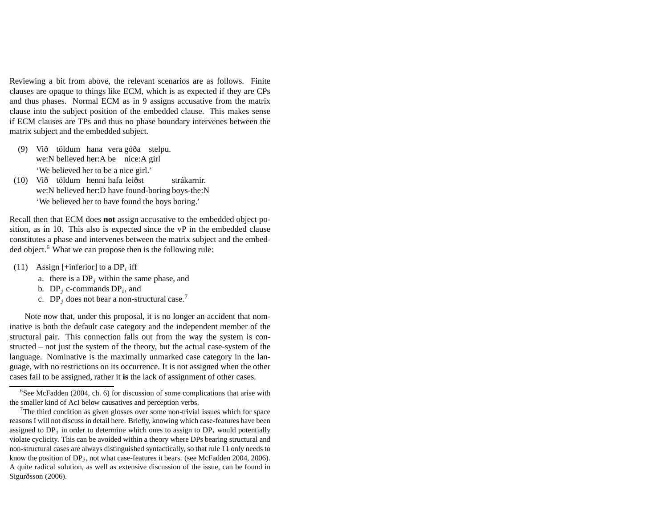Reviewing <sup>a</sup> bit from above, the relevant scenarios are as follows. Finite clauses are opaque to things like ECM, which is as expected if they are CPs and thus phases. Normal ECM as in 9 assigns accusative from the matrix clause into the subject position of the embedded clause. This makes sense if ECM clauses are TPs and thus no phase boundary intervenes between the matrix subject and the embedded subject.

- (9) Við töldum hana vera góða stelpu. we:N believed her:A be nice:A girl 'We believed her to be <sup>a</sup> nice girl.'
- (10) Við töldum henni hafa leiðst we:N believed her:D have found-boring boys-the:N strákarnir. 'We believed her to have found the boys boring.'

Recall then that ECM does **not** assign accusative to the embedded object position, as in 10. This also is expected since the vP in the embedded clause constitutes <sup>a</sup> phase and intervenes between the matrix subject and the embedded object.<sup>6</sup> What we can propose then is the following rule:

- (11) Assign [+inferior] to a  $DP<sub>i</sub>$  iff
	- a. there is a  $DP<sub>j</sub>$  within the same phase, and
	- b.  $DP_i$  c-commands  $DP_i$ , and
	- c.  $DP<sub>j</sub>$  does not bear a non-structural case.<sup>7</sup>

Note now that, under this proposal, it is no longer an accident that nominative is both the default case category and the independent member of the structural pair. This connection falls out from the way the system is constructed – not just the system of the theory, but the actual case-system of the language. Nominative is the maximally unmarked case category in the language, with no restrictions on its occurrence. It is not assigned when the other cases fail to be assigned, rather it **is** the lack of assignment of other cases.

 $6$ See McFadden (2004, ch. 6) for discussion of some complications that arise with the smaller kind of AcI below causatives and perception verbs.

<sup>&</sup>lt;sup>7</sup>The third condition as given glosses over some non-trivial issues which for space reasons I will not discuss in detail here. Briefly, knowing which case-features have been assigned to  $DP_j$  in order to determine which ones to assign to  $DP_i$  would potentially violate cyclicity. This can be avoided within <sup>a</sup> theory where DPs bearing structural and non-structural cases are always distinguished syntactically, so that rule 11 only needs to know the position of  $DP<sub>j</sub>$ , not what case-features it bears. (see McFadden 2004, 2006). A quite radical solution, as well as extensive discussion of the issue, can be found in Sigurðsson (2006).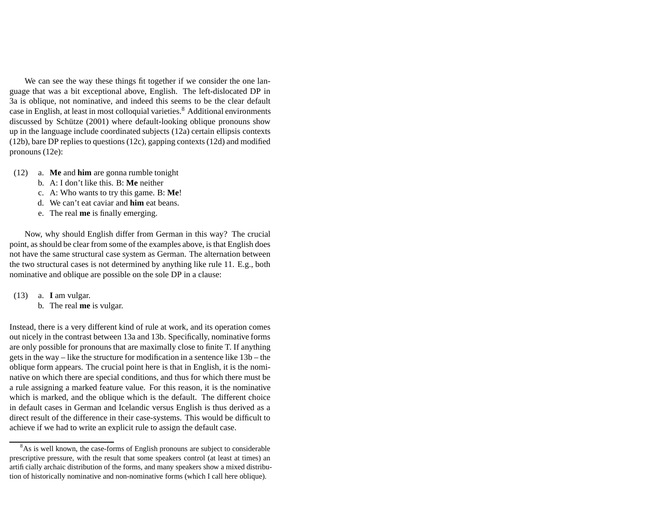We can see the way these things fit together if we consider the one language that was <sup>a</sup> bit exceptional above, English. The left-dislocated DP in 3a is oblique, not nominative, and indeed this seems to be the clear default case in English, at least in most colloquial varieties.<sup>8</sup> Additional environments discussed by Schütze (2001) where default-looking oblique pronouns show up in the language include coordinated subjects (12a) certain ellipsis contexts (12b), bare DP replies to questions (12c), gapping contexts (12d) and modified pronouns (12e):

- (12) a. **Me** and **him** are gonna rumble tonight
	- b. A: I don't like this. B: **Me** neither
	- c. A: Who wants to try this game. B: **Me**!
	- d. We can't eat caviar and **him** eat beans.
	- e. The real **me** is finally emerging.

Now, why should English differ from German in this way? The crucial point, as should be clear from some of the examples above, is that English does not have the same structural case system as German. The alternation between the two structural cases is not determined by anything like rule 11. E.g., both nominative and oblique are possible on the sole DP in <sup>a</sup> clause:

- (13) a. **I** am vulgar.
	- b. The real **me** is vulgar.

Instead, there is <sup>a</sup> very different kind of rule at work, and its operation comes out nicely in the contrast between 13a and 13b. Specifically, nominative forms are only possible for pronouns that are maximally close to finite T. If anything gets in the way – like the structure for modification in <sup>a</sup> sentence like 13b – the oblique form appears. The crucial point here is that in English, it is the nominative on which there are special conditions, and thus for which there must be <sup>a</sup> rule assigning <sup>a</sup> marked feature value. For this reason, it is the nominative which is marked, and the oblique which is the default. The different choice in default cases in German and Icelandic versus English is thus derived as <sup>a</sup> direct result of the difference in their case-systems. This would be difficult to achieve if we had to write an explicit rule to assign the default case.

<sup>&</sup>lt;sup>8</sup>As is well known, the case-forms of English pronouns are subject to considerable prescriptive pressure, with the result that some speakers control (at least at times) an artificially archaic distribution of the forms, and many speakers show <sup>a</sup> mixed distribution of historically nominative and non-nominative forms (which I call here oblique).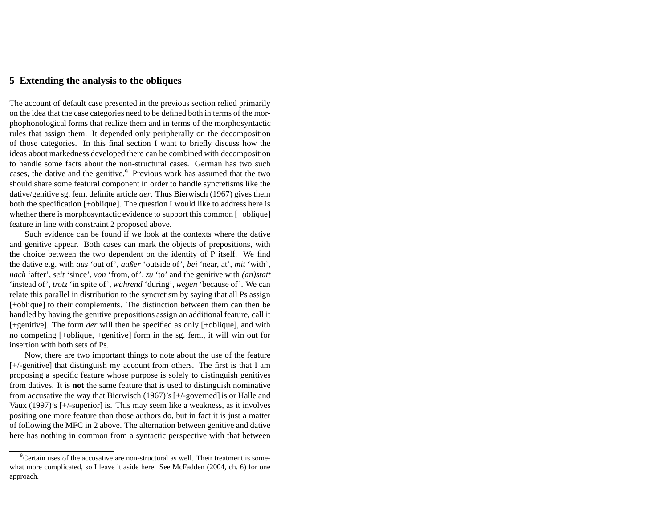## **5 Extending the analysis to the obliques**

The account of default case presented in the previous section relied primarily on the idea that the case categories need to be defined both in terms of the morphophonological forms that realize them and in terms of the morphosyntactic rules that assign them. It depended only peripherally on the decomposition of those categories. In this final section I want to briefly discuss how the ideas about markedness developed there can be combined with decomposition to handle some facts about the non-structural cases. German has two such cases, the dative and the genitive. $9$  Previous work has assumed that the two should share some featural componen<sup>t</sup> in order to handle syncretisms like the dative/genitive sg. fem. definite article *der*. Thus Bierwisch (1967) gives them both the specification [+oblique]. The question I would like to address here is whether there is morphosyntactic evidence to suppor<sup>t</sup> this common [+oblique] feature in line with constraint 2 proposed above.

Such evidence can be found if we look at the contexts where the dative and genitive appear. Both cases can mark the objects of prepositions, with the choice between the two dependent on the identity of P itself. We find the dative e.g. with *aus* 'out of', *außer* 'outside of', *bei* 'near, at', *mit* 'with', *nach* 'after', *seit* 'since', *von* 'from, of', *zu* 'to' and the genitive with *(an)statt* 'instead of', *trotz* 'in spite of', *während* 'during', *wegen* 'because of'. We can relate this parallel in distribution to the syncretism by saying that all Ps assign [+oblique] to their complements. The distinction between them can then be handled by having the genitive prepositions assign an additional feature, call it [+genitive]. The form *der* will then be specified as only [+oblique], and with no competing [+oblique, +genitive] form in the sg. fem., it will win out for insertion with both sets of Ps.

Now, there are two important things to note about the use of the feature [+/-genitive] that distinguish my account from others. The first is that I am proposing <sup>a</sup> specific feature whose purpose is solely to distinguish genitives from datives. It is **not** the same feature that is used to distinguish nominative from accusative the way that Bierwisch (1967)'s [+/-governed] is or Halle and Vaux (1997)'s [+/-superior] is. This may seem like <sup>a</sup> weakness, as it involves positing one more feature than those authors do, but in fact it is just <sup>a</sup> matter of following the MFC in 2 above. The alternation between genitive and dative here has nothing in common from <sup>a</sup> syntactic perspective with that between

<sup>&</sup>lt;sup>9</sup>Certain uses of the accusative are non-structural as well. Their treatment is somewhat more complicated, so I leave it aside here. See McFadden (2004, ch. 6) for one approach.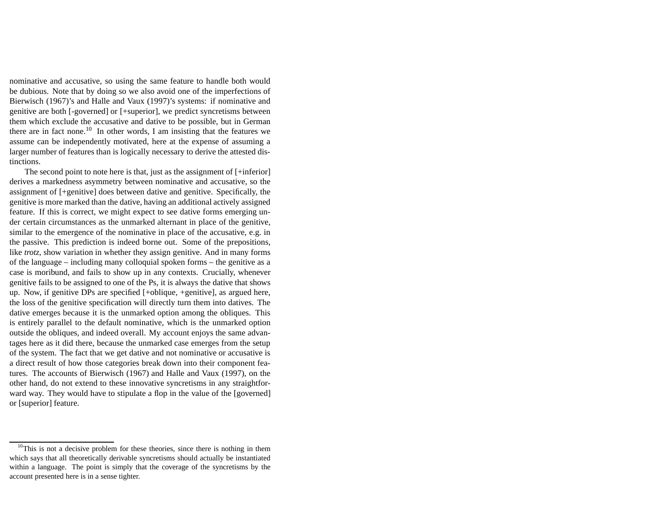nominative and accusative, so using the same feature to handle both would be dubious. Note that by doing so we also avoid one of the imperfections of Bierwisch (1967)'s and Halle and Vaux (1997)'s systems: if nominative and genitive are both [-governed] or [+superior], we predict syncretisms between them which exclude the accusative and dative to be possible, but in German there are in fact none.<sup>10</sup> In other words, I am insisting that the features we assume can be independently motivated, here at the expense of assuming <sup>a</sup> larger number of features than is logically necessary to derive the attested distinctions.

The second point to note here is that, just as the assignment of [+inferior] derives <sup>a</sup> markedness asymmetry between nominative and accusative, so the assignment of [+genitive] does between dative and genitive. Specifically, the genitive is more marked than the dative, having an additional actively assigned feature. If this is correct, we might expec<sup>t</sup> to see dative forms emerging under certain circumstances as the unmarked alternant in place of the genitive, similar to the emergence of the nominative in place of the accusative, e.g. in the passive. This prediction is indeed borne out. Some of the prepositions, like *trotz*, show variation in whether they assign genitive. And in many forms of the language – including many colloquial spoken forms – the genitive as <sup>a</sup> case is moribund, and fails to show up in any contexts. Crucially, whenever genitive fails to be assigned to one of the Ps, it is always the dative that shows up. Now, if genitive DPs are specified [+oblique, +genitive], as argued here, the loss of the genitive specification will directly turn them into datives. The dative emerges because it is the unmarked option among the obliques. This is entirely parallel to the default nominative, which is the unmarked option outside the obliques, and indeed overall. My account enjoys the same advantages here as it did there, because the unmarked case emerges from the setup of the system. The fact that we ge<sup>t</sup> dative and not nominative or accusative is <sup>a</sup> direct result of how those categories break down into their componen<sup>t</sup> features. The accounts of Bierwisch (1967) and Halle and Vaux (1997), on the other hand, do not extend to these innovative syncretisms in any straightforward way. They would have to stipulate <sup>a</sup> flop in the value of the [governed] or [superior] feature.

 $10$ This is not a decisive problem for these theories, since there is nothing in them which says that all theoretically derivable syncretisms should actually be instantiated within <sup>a</sup> language. The point is simply that the coverage of the syncretisms by the account presented here is in <sup>a</sup> sense tighter.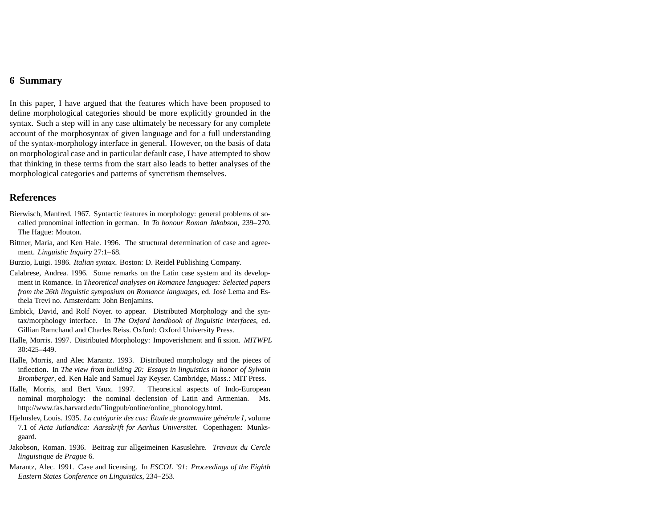# **6 Summary**

In this paper, I have argued that the features which have been proposed to define morphological categories should be more explicitly grounded in the syntax. Such <sup>a</sup> step will in any case ultimately be necessary for any complete account of the morphosyntax of given language and for <sup>a</sup> full understanding of the syntax-morphology interface in general. However, on the basis of data on morphological case and in particular default case, I have attempted to show that thinking in these terms from the start also leads to better analyses of the morphological categories and patterns of syncretism themselves.

## **References**

- Bierwisch, Manfred. 1967. Syntactic features in morphology: general problems of socalled pronominal inflection in german. In *To honour Roman Jakobson*, 239–270. The Hague: Mouton.
- Bittner, Maria, and Ken Hale. 1996. The structural determination of case and agreement. *Linguistic Inquiry* 27:1–68.
- Burzio, Luigi. 1986. *Italian syntax*. Boston: D. Reidel Publishing Company.
- Calabrese, Andrea. 1996. Some remarks on the Latin case system and its development in Romance. In *Theoretical analyses on Romance languages: Selected papers from the 26th linguistic symposium on Romance languages*, ed. José Lema and Esthela Trevi no. Amsterdam: John Benjamins.
- Embick, David, and Rolf Noyer. to appear. Distributed Morphology and the syntax/morphology interface. In *The Oxford handbook of linguistic interfaces*, ed. Gillian Ramchand and Charles Reiss. Oxford: Oxford University Press.
- Halle, Morris. 1997. Distributed Morphology: Impoverishment and fission. *MITWPL* 30:425–449.
- Halle, Morris, and Alec Marantz. 1993. Distributed morphology and the pieces of inflection. In *The view from building 20: Essays in linguistics in honor of Sylvain Bromberger*, ed. Ken Hale and Samuel Jay Keyser. Cambridge, Mass.: MIT Press.
- Halle, Morris, and Bert Vaux. 1997. Theoretical aspects of Indo-European nominal morphology: the nominal declension of Latin and Armenian. Ms. http://www.fas.harvard.edu/~lingpub/online/online\_phonology.html.
- Hjelmslev, Louis. 1935. *La catégorie des cas: Étude de grammaire <sup>g</sup>énérale <sup>I</sup>*, volume 7.1 of *Acta Jutlandica: Aarsskrift for Aarhus Universitet*. Copenhagen: Munksgaard.
- Jakobson, Roman. 1936. Beitrag zur allgeimeinen Kasuslehre. *Travaux du Cercle linguistique de Prague* 6.
- Marantz, Alec. 1991. Case and licensing. In *ESCOL '91: Proceedings of the Eighth Eastern States Conference on Linguistics*, 234–253.